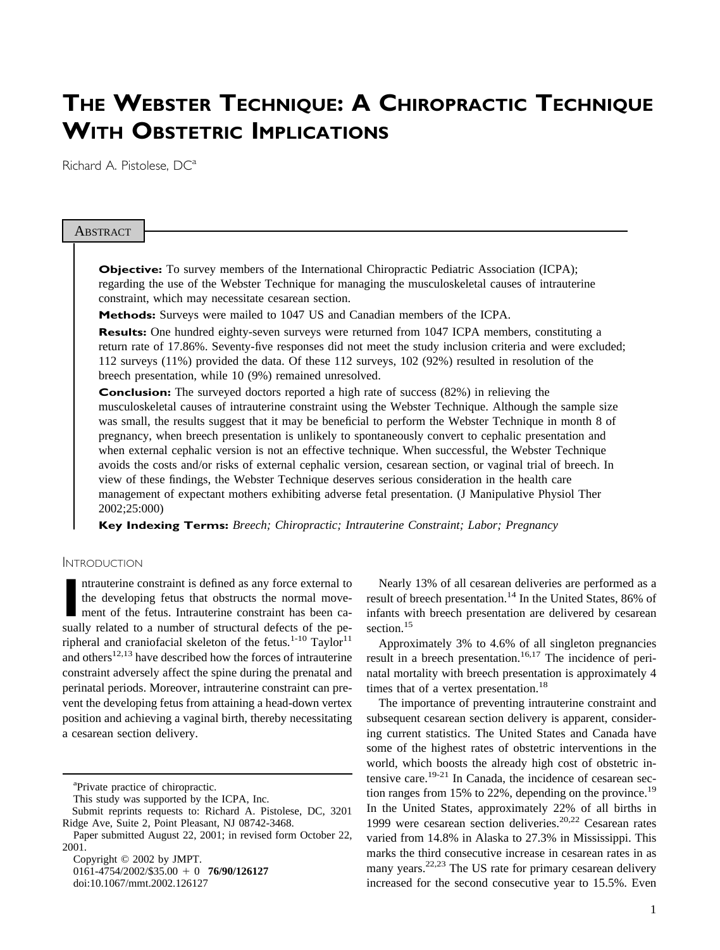# **THE WEBSTER TECHNIQUE: A CHIROPRACTIC TECHNIQUE WITH OBSTETRIC IMPLICATIONS**

Richard A. Pistolese, DC<sup>a</sup>

## **ABSTRACT**

**Objective:** To survey members of the International Chiropractic Pediatric Association (ICPA); regarding the use of the Webster Technique for managing the musculoskeletal causes of intrauterine constraint, which may necessitate cesarean section.

**Methods:** Surveys were mailed to 1047 US and Canadian members of the ICPA.

**Results:** One hundred eighty-seven surveys were returned from 1047 ICPA members, constituting a return rate of 17.86%. Seventy-five responses did not meet the study inclusion criteria and were excluded; 112 surveys (11%) provided the data. Of these 112 surveys, 102 (92%) resulted in resolution of the breech presentation, while 10 (9%) remained unresolved.

**Conclusion:** The surveyed doctors reported a high rate of success (82%) in relieving the musculoskeletal causes of intrauterine constraint using the Webster Technique. Although the sample size was small, the results suggest that it may be beneficial to perform the Webster Technique in month 8 of pregnancy, when breech presentation is unlikely to spontaneously convert to cephalic presentation and when external cephalic version is not an effective technique. When successful, the Webster Technique avoids the costs and/or risks of external cephalic version, cesarean section, or vaginal trial of breech. In view of these findings, the Webster Technique deserves serious consideration in the health care management of expectant mothers exhibiting adverse fetal presentation. (J Manipulative Physiol Ther 2002;25:000)

**Key Indexing Terms:** *Breech; Chiropractic; Intrauterine Constraint; Labor; Pregnancy*

## INTRODUCTION

Intrauterine constraint is defined as any force external to the developing fetus that obstructs the normal movement of the fetus. Intrauterine constraint has been casually related to a number of structural defects of the p ntrauterine constraint is defined as any force external to the developing fetus that obstructs the normal movement of the fetus. Intrauterine constraint has been caripheral and craniofacial skeleton of the fetus.<sup>1-10</sup> Taylor<sup>11</sup> and others $12,13$  have described how the forces of intrauterine constraint adversely affect the spine during the prenatal and perinatal periods. Moreover, intrauterine constraint can prevent the developing fetus from attaining a head-down vertex position and achieving a vaginal birth, thereby necessitating a cesarean section delivery.

Copyright © 2002 by JMPT.

0161-4754/2002/\$35.00 + 0 **76/90/126127** doi:10.1067/mmt.2002.126127

Nearly 13% of all cesarean deliveries are performed as a result of breech presentation.<sup>14</sup> In the United States, 86% of infants with breech presentation are delivered by cesarean section.<sup>15</sup>

Approximately 3% to 4.6% of all singleton pregnancies result in a breech presentation.<sup>16,17</sup> The incidence of perinatal mortality with breech presentation is approximately 4 times that of a vertex presentation.<sup>18</sup>

The importance of preventing intrauterine constraint and subsequent cesarean section delivery is apparent, considering current statistics. The United States and Canada have some of the highest rates of obstetric interventions in the world, which boosts the already high cost of obstetric intensive care.19-21 In Canada, the incidence of cesarean section ranges from 15% to 22%, depending on the province.<sup>19</sup> In the United States, approximately 22% of all births in 1999 were cesarean section deliveries.<sup>20,22</sup> Cesarean rates varied from 14.8% in Alaska to 27.3% in Mississippi. This marks the third consecutive increase in cesarean rates in as many years.<sup>22,23</sup> The US rate for primary cesarean delivery increased for the second consecutive year to 15.5%. Even

<sup>&</sup>lt;sup>a</sup>Private practice of chiropractic.

This study was supported by the ICPA, Inc.

Submit reprints requests to: Richard A. Pistolese, DC, 3201 Ridge Ave, Suite 2, Point Pleasant, NJ 08742-3468.

Paper submitted August 22, 2001; in revised form October 22, 2001.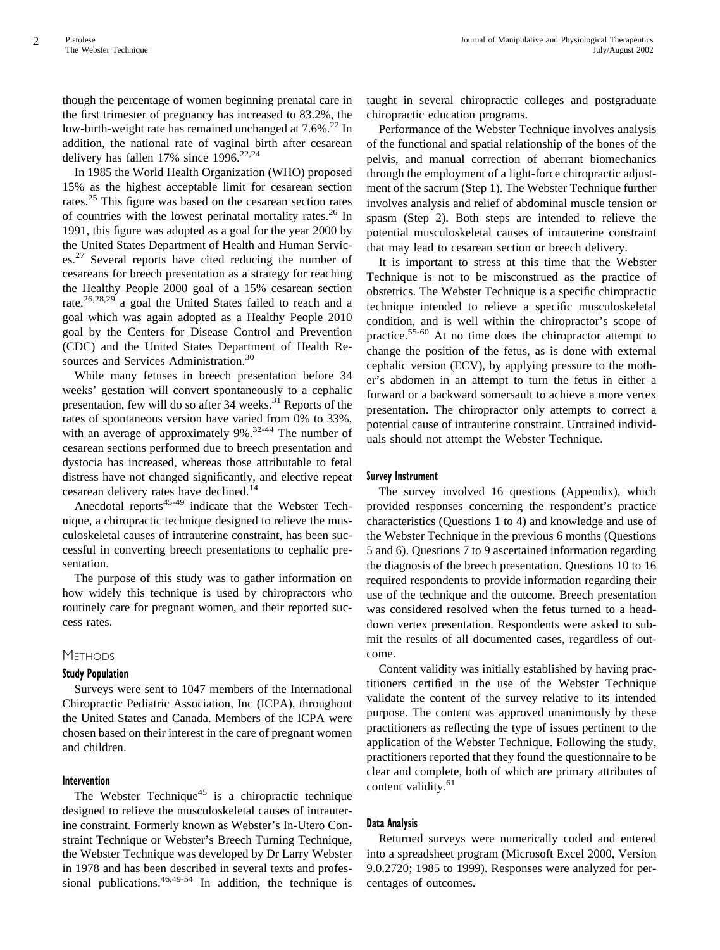though the percentage of women beginning prenatal care in the first trimester of pregnancy has increased to 83.2%, the low-birth-weight rate has remained unchanged at 7.6%.<sup>22</sup> In addition, the national rate of vaginal birth after cesarean delivery has fallen  $17\%$  since  $1996.^{22,24}$ 

In 1985 the World Health Organization (WHO) proposed 15% as the highest acceptable limit for cesarean section rates.<sup>25</sup> This figure was based on the cesarean section rates of countries with the lowest perinatal mortality rates.<sup>26</sup> In 1991, this figure was adopted as a goal for the year 2000 by the United States Department of Health and Human Services.<sup>27</sup> Several reports have cited reducing the number of cesareans for breech presentation as a strategy for reaching the Healthy People 2000 goal of a 15% cesarean section rate,<sup>26,28,29</sup> a goal the United States failed to reach and a goal which was again adopted as a Healthy People 2010 goal by the Centers for Disease Control and Prevention (CDC) and the United States Department of Health Resources and Services Administration.<sup>30</sup>

While many fetuses in breech presentation before 34 weeks' gestation will convert spontaneously to a cephalic presentation, few will do so after  $34$  weeks.<sup>31</sup> Reports of the rates of spontaneous version have varied from 0% to 33%, with an average of approximately  $9\%$ .<sup>32-44</sup> The number of cesarean sections performed due to breech presentation and dystocia has increased, whereas those attributable to fetal distress have not changed significantly, and elective repeat cesarean delivery rates have declined.<sup>14</sup>

Anecdotal reports<sup>45-49</sup> indicate that the Webster Technique, a chiropractic technique designed to relieve the musculoskeletal causes of intrauterine constraint, has been successful in converting breech presentations to cephalic presentation.

The purpose of this study was to gather information on how widely this technique is used by chiropractors who routinely care for pregnant women, and their reported success rates.

## **METHODS**

#### **Study Population**

Surveys were sent to 1047 members of the International Chiropractic Pediatric Association, Inc (ICPA), throughout the United States and Canada. Members of the ICPA were chosen based on their interest in the care of pregnant women and children.

## **Intervention**

The Webster Technique<sup>45</sup> is a chiropractic technique designed to relieve the musculoskeletal causes of intrauterine constraint. Formerly known as Webster's In-Utero Constraint Technique or Webster's Breech Turning Technique, the Webster Technique was developed by Dr Larry Webster in 1978 and has been described in several texts and professional publications.  $46,49-54$  In addition, the technique is taught in several chiropractic colleges and postgraduate chiropractic education programs.

Performance of the Webster Technique involves analysis of the functional and spatial relationship of the bones of the pelvis, and manual correction of aberrant biomechanics through the employment of a light-force chiropractic adjustment of the sacrum (Step 1). The Webster Technique further involves analysis and relief of abdominal muscle tension or spasm (Step 2). Both steps are intended to relieve the potential musculoskeletal causes of intrauterine constraint that may lead to cesarean section or breech delivery.

It is important to stress at this time that the Webster Technique is not to be misconstrued as the practice of obstetrics. The Webster Technique is a specific chiropractic technique intended to relieve a specific musculoskeletal condition, and is well within the chiropractor's scope of practice.55-60 At no time does the chiropractor attempt to change the position of the fetus, as is done with external cephalic version (ECV), by applying pressure to the mother's abdomen in an attempt to turn the fetus in either a forward or a backward somersault to achieve a more vertex presentation. The chiropractor only attempts to correct a potential cause of intrauterine constraint. Untrained individuals should not attempt the Webster Technique.

#### **Survey Instrument**

The survey involved 16 questions (Appendix), which provided responses concerning the respondent's practice characteristics (Questions 1 to 4) and knowledge and use of the Webster Technique in the previous 6 months (Questions 5 and 6). Questions 7 to 9 ascertained information regarding the diagnosis of the breech presentation. Questions 10 to 16 required respondents to provide information regarding their use of the technique and the outcome. Breech presentation was considered resolved when the fetus turned to a headdown vertex presentation. Respondents were asked to submit the results of all documented cases, regardless of outcome.

Content validity was initially established by having practitioners certified in the use of the Webster Technique validate the content of the survey relative to its intended purpose. The content was approved unanimously by these practitioners as reflecting the type of issues pertinent to the application of the Webster Technique. Following the study, practitioners reported that they found the questionnaire to be clear and complete, both of which are primary attributes of content validity.<sup>61</sup>

## **Data Analysis**

Returned surveys were numerically coded and entered into a spreadsheet program (Microsoft Excel 2000, Version 9.0.2720; 1985 to 1999). Responses were analyzed for percentages of outcomes.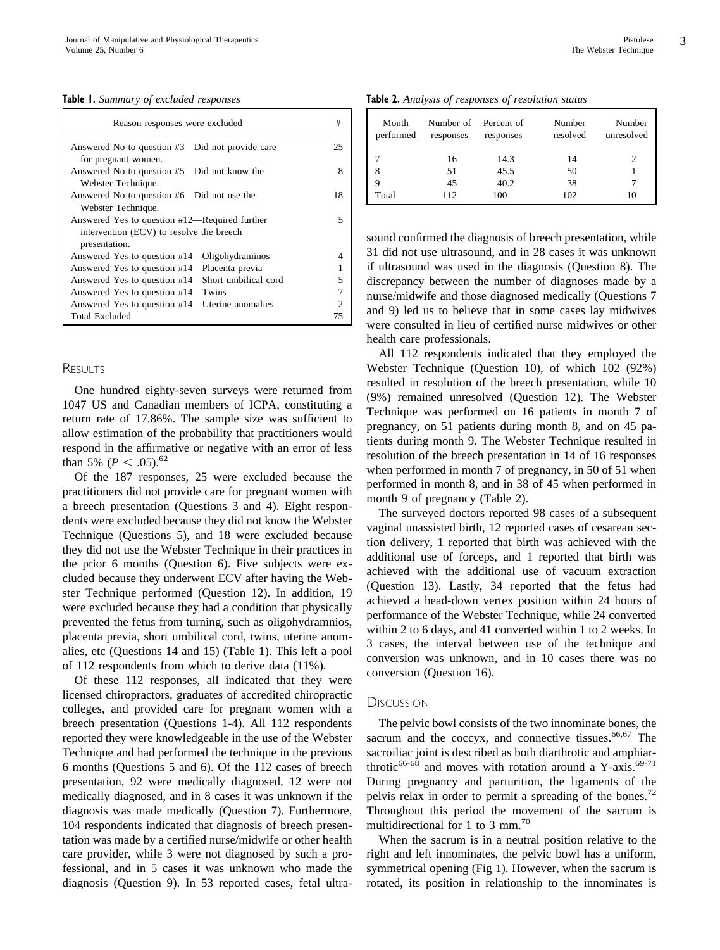|  |  |  |  |  | Table 1. Summary of excluded responses |
|--|--|--|--|--|----------------------------------------|
|--|--|--|--|--|----------------------------------------|

| Reason responses were excluded                                         |    |  |
|------------------------------------------------------------------------|----|--|
| Answered No to question #3—Did not provide care<br>for pregnant women. | 25 |  |
| Answered No to question #5—Did not know the<br>Webster Technique.      | 8  |  |
| Answered No to question #6—Did not use the<br>Webster Technique.       | 18 |  |
| Answered Yes to question #12—Required further                          | 5  |  |
| intervention (ECV) to resolve the breech<br>presentation.              |    |  |
| Answered Yes to question #14—Oligohydraminos                           | 4  |  |
| Answered Yes to question #14—Placenta previa                           |    |  |
| Answered Yes to question #14—Short umbilical cord                      | 5  |  |
| Answered Yes to question #14—Twins                                     | 7  |  |
| Answered Yes to question #14—Uterine anomalies                         | 2  |  |
| <b>Total Excluded</b>                                                  |    |  |

#### **RESULTS**

One hundred eighty-seven surveys were returned from 1047 US and Canadian members of ICPA, constituting a return rate of 17.86%. The sample size was sufficient to allow estimation of the probability that practitioners would respond in the affirmative or negative with an error of less than 5% ( $P < .05$ ).<sup>62</sup>

Of the 187 responses, 25 were excluded because the practitioners did not provide care for pregnant women with a breech presentation (Questions 3 and 4). Eight respondents were excluded because they did not know the Webster Technique (Questions 5), and 18 were excluded because they did not use the Webster Technique in their practices in the prior 6 months (Question 6). Five subjects were excluded because they underwent ECV after having the Webster Technique performed (Question 12). In addition, 19 were excluded because they had a condition that physically prevented the fetus from turning, such as oligohydramnios, placenta previa, short umbilical cord, twins, uterine anomalies, etc (Questions 14 and 15) (Table 1). This left a pool of 112 respondents from which to derive data (11%).

Of these 112 responses, all indicated that they were licensed chiropractors, graduates of accredited chiropractic colleges, and provided care for pregnant women with a breech presentation (Questions 1-4). All 112 respondents reported they were knowledgeable in the use of the Webster Technique and had performed the technique in the previous 6 months (Questions 5 and 6). Of the 112 cases of breech presentation, 92 were medically diagnosed, 12 were not medically diagnosed, and in 8 cases it was unknown if the diagnosis was made medically (Question 7). Furthermore, 104 respondents indicated that diagnosis of breech presentation was made by a certified nurse/midwife or other health care provider, while 3 were not diagnosed by such a professional, and in 5 cases it was unknown who made the diagnosis (Question 9). In 53 reported cases, fetal ultra-

**Table 2.** *Analysis of responses of resolution status*

| Month<br>performed | Number of Percent of<br>responses | responses | Number<br>resolved | Number<br>unresolved |
|--------------------|-----------------------------------|-----------|--------------------|----------------------|
|                    | 16                                | 14.3      | 14                 |                      |
| 8                  | 51                                | 45.5      | 50                 |                      |
| 9                  | 45                                | 40.2      | 38                 |                      |
| Total              | 112                               | 100       | 102.               |                      |

sound confirmed the diagnosis of breech presentation, while 31 did not use ultrasound, and in 28 cases it was unknown if ultrasound was used in the diagnosis (Question 8). The discrepancy between the number of diagnoses made by a nurse/midwife and those diagnosed medically (Questions 7 and 9) led us to believe that in some cases lay midwives were consulted in lieu of certified nurse midwives or other health care professionals.

All 112 respondents indicated that they employed the Webster Technique (Question 10), of which 102 (92%) resulted in resolution of the breech presentation, while 10 (9%) remained unresolved (Question 12). The Webster Technique was performed on 16 patients in month 7 of pregnancy, on 51 patients during month 8, and on 45 patients during month 9. The Webster Technique resulted in resolution of the breech presentation in 14 of 16 responses when performed in month 7 of pregnancy, in 50 of 51 when performed in month 8, and in 38 of 45 when performed in month 9 of pregnancy (Table 2).

The surveyed doctors reported 98 cases of a subsequent vaginal unassisted birth, 12 reported cases of cesarean section delivery, 1 reported that birth was achieved with the additional use of forceps, and 1 reported that birth was achieved with the additional use of vacuum extraction (Question 13). Lastly, 34 reported that the fetus had achieved a head-down vertex position within 24 hours of performance of the Webster Technique, while 24 converted within 2 to 6 days, and 41 converted within 1 to 2 weeks. In 3 cases, the interval between use of the technique and conversion was unknown, and in 10 cases there was no conversion (Question 16).

#### **DISCUSSION**

The pelvic bowl consists of the two innominate bones, the sacrum and the coccyx, and connective tissues.<sup>66,67</sup> The sacroiliac joint is described as both diarthrotic and amphiarthrotic<sup>66-68</sup> and moves with rotation around a Y-axis.<sup>69-71</sup> During pregnancy and parturition, the ligaments of the pelvis relax in order to permit a spreading of the bones.<sup>72</sup> Throughout this period the movement of the sacrum is multidirectional for 1 to 3 mm.<sup>70</sup>

When the sacrum is in a neutral position relative to the right and left innominates, the pelvic bowl has a uniform, symmetrical opening (Fig 1). However, when the sacrum is rotated, its position in relationship to the innominates is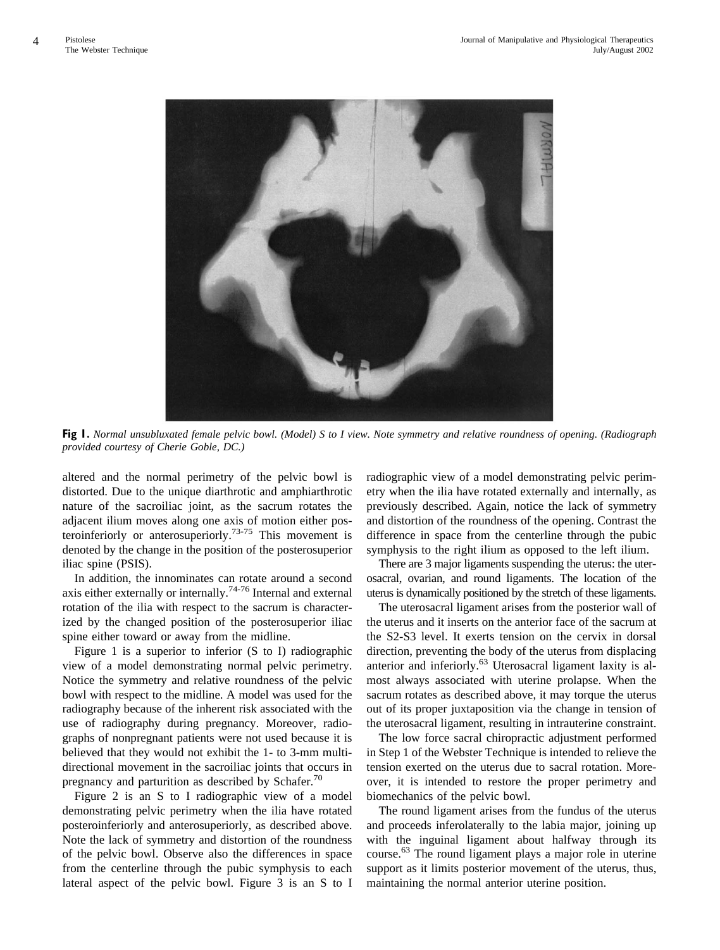

**Fig 1.** *Normal unsubluxated female pelvic bowl. (Model) S to I view. Note symmetry and relative roundness of opening. (Radiograph provided courtesy of Cherie Goble, DC.)*

altered and the normal perimetry of the pelvic bowl is distorted. Due to the unique diarthrotic and amphiarthrotic nature of the sacroiliac joint, as the sacrum rotates the adjacent ilium moves along one axis of motion either posteroinferiorly or anterosuperiorly.73-75 This movement is denoted by the change in the position of the posterosuperior iliac spine (PSIS).

In addition, the innominates can rotate around a second axis either externally or internally.74-76 Internal and external rotation of the ilia with respect to the sacrum is characterized by the changed position of the posterosuperior iliac spine either toward or away from the midline.

Figure 1 is a superior to inferior (S to I) radiographic view of a model demonstrating normal pelvic perimetry. Notice the symmetry and relative roundness of the pelvic bowl with respect to the midline. A model was used for the radiography because of the inherent risk associated with the use of radiography during pregnancy. Moreover, radiographs of nonpregnant patients were not used because it is believed that they would not exhibit the 1- to 3-mm multidirectional movement in the sacroiliac joints that occurs in pregnancy and parturition as described by Schafer.<sup>70</sup>

Figure 2 is an S to I radiographic view of a model demonstrating pelvic perimetry when the ilia have rotated posteroinferiorly and anterosuperiorly, as described above. Note the lack of symmetry and distortion of the roundness of the pelvic bowl. Observe also the differences in space from the centerline through the pubic symphysis to each lateral aspect of the pelvic bowl. Figure 3 is an S to I

radiographic view of a model demonstrating pelvic perimetry when the ilia have rotated externally and internally, as previously described. Again, notice the lack of symmetry and distortion of the roundness of the opening. Contrast the difference in space from the centerline through the pubic symphysis to the right ilium as opposed to the left ilium.

There are 3 major ligaments suspending the uterus: the uterosacral, ovarian, and round ligaments. The location of the uterus is dynamically positioned by the stretch of these ligaments.

The uterosacral ligament arises from the posterior wall of the uterus and it inserts on the anterior face of the sacrum at the S2-S3 level. It exerts tension on the cervix in dorsal direction, preventing the body of the uterus from displacing anterior and inferiorly.63 Uterosacral ligament laxity is almost always associated with uterine prolapse. When the sacrum rotates as described above, it may torque the uterus out of its proper juxtaposition via the change in tension of the uterosacral ligament, resulting in intrauterine constraint.

The low force sacral chiropractic adjustment performed in Step 1 of the Webster Technique is intended to relieve the tension exerted on the uterus due to sacral rotation. Moreover, it is intended to restore the proper perimetry and biomechanics of the pelvic bowl.

The round ligament arises from the fundus of the uterus and proceeds inferolaterally to the labia major, joining up with the inguinal ligament about halfway through its course.63 The round ligament plays a major role in uterine support as it limits posterior movement of the uterus, thus, maintaining the normal anterior uterine position.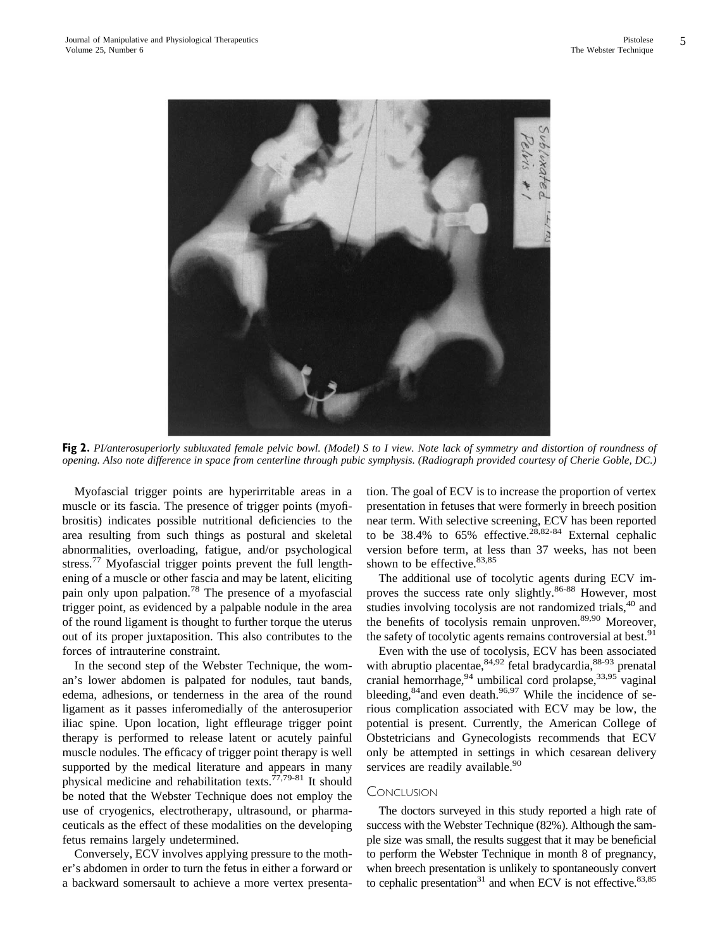

**Fig 2.** *PI/anterosuperiorly subluxated female pelvic bowl. (Model) S to I view. Note lack of symmetry and distortion of roundness of opening. Also note difference in space from centerline through pubic symphysis. (Radiograph provided courtesy of Cherie Goble, DC.)*

Myofascial trigger points are hyperirritable areas in a muscle or its fascia. The presence of trigger points (myofibrositis) indicates possible nutritional deficiencies to the area resulting from such things as postural and skeletal abnormalities, overloading, fatigue, and/or psychological stress.<sup>77</sup> Myofascial trigger points prevent the full lengthening of a muscle or other fascia and may be latent, eliciting pain only upon palpation.78 The presence of a myofascial trigger point, as evidenced by a palpable nodule in the area of the round ligament is thought to further torque the uterus out of its proper juxtaposition. This also contributes to the forces of intrauterine constraint.

In the second step of the Webster Technique, the woman's lower abdomen is palpated for nodules, taut bands, edema, adhesions, or tenderness in the area of the round ligament as it passes inferomedially of the anterosuperior iliac spine. Upon location, light effleurage trigger point therapy is performed to release latent or acutely painful muscle nodules. The efficacy of trigger point therapy is well supported by the medical literature and appears in many physical medicine and rehabilitation texts.<sup>77,79-81</sup> It should be noted that the Webster Technique does not employ the use of cryogenics, electrotherapy, ultrasound, or pharmaceuticals as the effect of these modalities on the developing fetus remains largely undetermined.

Conversely, ECV involves applying pressure to the mother's abdomen in order to turn the fetus in either a forward or a backward somersault to achieve a more vertex presentation. The goal of ECV is to increase the proportion of vertex presentation in fetuses that were formerly in breech position near term. With selective screening, ECV has been reported to be 38.4% to 65% effective.<sup>28,82-84</sup> External cephalic version before term, at less than 37 weeks, has not been shown to be effective. 83,85

The additional use of tocolytic agents during ECV improves the success rate only slightly.86-88 However, most studies involving tocolysis are not randomized trials,<sup>40</sup> and the benefits of tocolysis remain unproven.<sup>89,90</sup> Moreover, the safety of tocolytic agents remains controversial at best.<sup>91</sup>

Even with the use of tocolysis, ECV has been associated with abruptio placentae, <sup>84,92</sup> fetal bradycardia, <sup>88-93</sup> prenatal cranial hemorrhage, <sup>94</sup> umbilical cord prolapse, <sup>33,95</sup> vaginal bleeding, <sup>84</sup> and even death.<sup>96,97</sup> While the incidence of serious complication associated with ECV may be low, the potential is present. Currently, the American College of Obstetricians and Gynecologists recommends that ECV only be attempted in settings in which cesarean delivery services are readily available.<sup>90</sup>

#### **CONCLUSION**

The doctors surveyed in this study reported a high rate of success with the Webster Technique (82%). Although the sample size was small, the results suggest that it may be beneficial to perform the Webster Technique in month 8 of pregnancy, when breech presentation is unlikely to spontaneously convert to cephalic presentation<sup>31</sup> and when ECV is not effective.<sup>83,85</sup>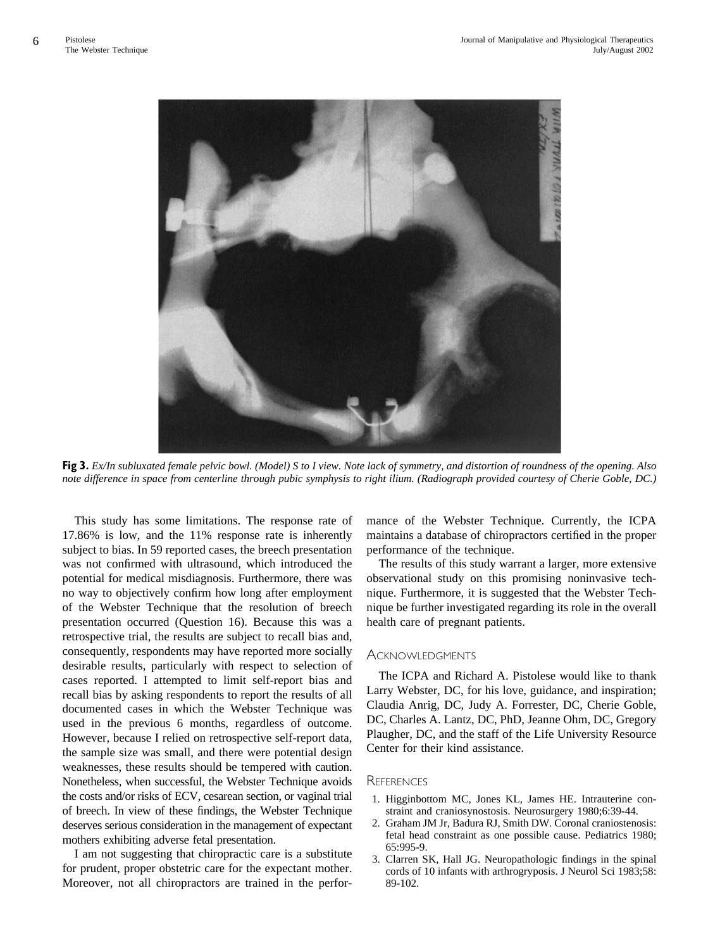

**Fig 3.** *Ex/In subluxated female pelvic bowl. (Model) S to I view. Note lack of symmetry, and distortion of roundness of the opening. Also note difference in space from centerline through pubic symphysis to right ilium. (Radiograph provided courtesy of Cherie Goble, DC.)*

This study has some limitations. The response rate of 17.86% is low, and the 11% response rate is inherently subject to bias. In 59 reported cases, the breech presentation was not confirmed with ultrasound, which introduced the potential for medical misdiagnosis. Furthermore, there was no way to objectively confirm how long after employment of the Webster Technique that the resolution of breech presentation occurred (Question 16). Because this was a retrospective trial, the results are subject to recall bias and, consequently, respondents may have reported more socially desirable results, particularly with respect to selection of cases reported. I attempted to limit self-report bias and recall bias by asking respondents to report the results of all documented cases in which the Webster Technique was used in the previous 6 months, regardless of outcome. However, because I relied on retrospective self-report data, the sample size was small, and there were potential design weaknesses, these results should be tempered with caution. Nonetheless, when successful, the Webster Technique avoids the costs and/or risks of ECV, cesarean section, or vaginal trial of breech. In view of these findings, the Webster Technique deserves serious consideration in the management of expectant mothers exhibiting adverse fetal presentation.

I am not suggesting that chiropractic care is a substitute for prudent, proper obstetric care for the expectant mother. Moreover, not all chiropractors are trained in the performance of the Webster Technique. Currently, the ICPA maintains a database of chiropractors certified in the proper performance of the technique.

The results of this study warrant a larger, more extensive observational study on this promising noninvasive technique. Furthermore, it is suggested that the Webster Technique be further investigated regarding its role in the overall health care of pregnant patients.

## **ACKNOWLEDGMENTS**

The ICPA and Richard A. Pistolese would like to thank Larry Webster, DC, for his love, guidance, and inspiration; Claudia Anrig, DC, Judy A. Forrester, DC, Cherie Goble, DC, Charles A. Lantz, DC, PhD, Jeanne Ohm, DC, Gregory Plaugher, DC, and the staff of the Life University Resource Center for their kind assistance.

#### **REFERENCES**

- 1. Higginbottom MC, Jones KL, James HE. Intrauterine constraint and craniosynostosis. Neurosurgery 1980;6:39-44.
- 2. Graham JM Jr, Badura RJ, Smith DW. Coronal craniostenosis: fetal head constraint as one possible cause. Pediatrics 1980; 65:995-9.
- 3. Clarren SK, Hall JG. Neuropathologic findings in the spinal cords of 10 infants with arthrogryposis. J Neurol Sci 1983;58: 89-102.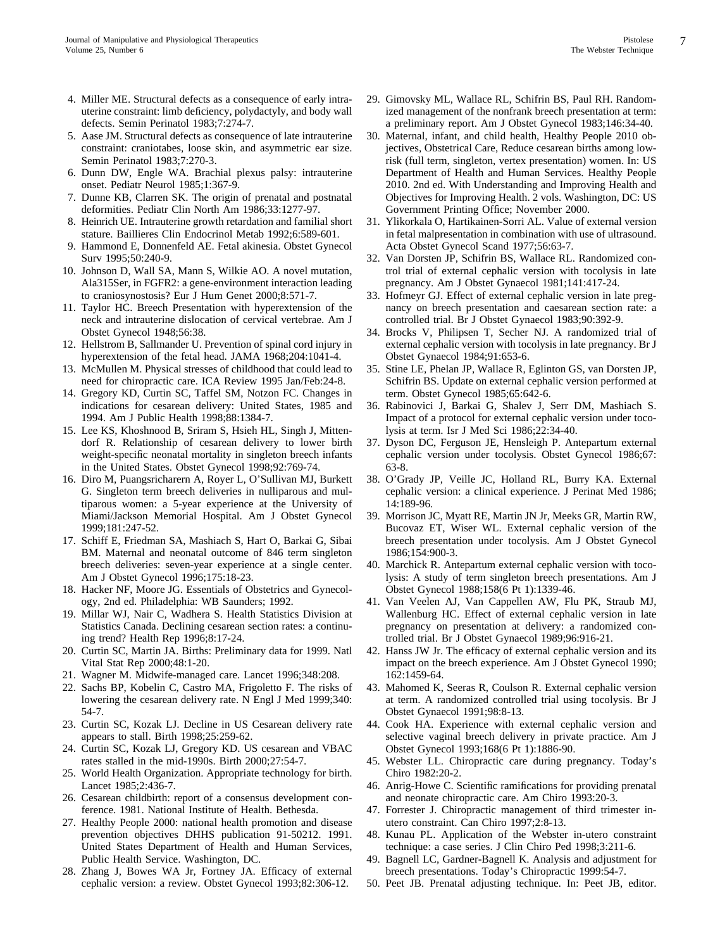- 4. Miller ME. Structural defects as a consequence of early intrauterine constraint: limb deficiency, polydactyly, and body wall defects. Semin Perinatol 1983;7:274-7.
- 5. Aase JM. Structural defects as consequence of late intrauterine constraint: craniotabes, loose skin, and asymmetric ear size. Semin Perinatol 1983;7:270-3.
- 6. Dunn DW, Engle WA. Brachial plexus palsy: intrauterine onset. Pediatr Neurol 1985;1:367-9.
- 7. Dunne KB, Clarren SK. The origin of prenatal and postnatal deformities. Pediatr Clin North Am 1986;33:1277-97.
- 8. Heinrich UE. Intrauterine growth retardation and familial short stature. Baillieres Clin Endocrinol Metab 1992;6:589-601.
- 9. Hammond E, Donnenfeld AE. Fetal akinesia. Obstet Gynecol Surv 1995;50:240-9.
- 10. Johnson D, Wall SA, Mann S, Wilkie AO. A novel mutation, Ala315Ser, in FGFR2: a gene-environment interaction leading to craniosynostosis? Eur J Hum Genet 2000;8:571-7.
- 11. Taylor HC. Breech Presentation with hyperextension of the neck and intrauterine dislocation of cervical vertebrae. Am J Obstet Gynecol 1948;56:38.
- 12. Hellstrom B, Sallmander U. Prevention of spinal cord injury in hyperextension of the fetal head. JAMA 1968;204:1041-4.
- 13. McMullen M. Physical stresses of childhood that could lead to need for chiropractic care. ICA Review 1995 Jan/Feb:24-8.
- 14. Gregory KD, Curtin SC, Taffel SM, Notzon FC. Changes in indications for cesarean delivery: United States, 1985 and 1994. Am J Public Health 1998;88:1384-7.
- 15. Lee KS, Khoshnood B, Sriram S, Hsieh HL, Singh J, Mittendorf R. Relationship of cesarean delivery to lower birth weight-specific neonatal mortality in singleton breech infants in the United States. Obstet Gynecol 1998;92:769-74.
- 16. Diro M, Puangsricharern A, Royer L, O'Sullivan MJ, Burkett G. Singleton term breech deliveries in nulliparous and multiparous women: a 5-year experience at the University of Miami/Jackson Memorial Hospital. Am J Obstet Gynecol 1999;181:247-52.
- 17. Schiff E, Friedman SA, Mashiach S, Hart O, Barkai G, Sibai BM. Maternal and neonatal outcome of 846 term singleton breech deliveries: seven-year experience at a single center. Am J Obstet Gynecol 1996;175:18-23.
- 18. Hacker NF, Moore JG. Essentials of Obstetrics and Gynecology, 2nd ed. Philadelphia: WB Saunders; 1992.
- 19. Millar WJ, Nair C, Wadhera S. Health Statistics Division at Statistics Canada. Declining cesarean section rates: a continuing trend? Health Rep 1996;8:17-24.
- 20. Curtin SC, Martin JA. Births: Preliminary data for 1999. Natl Vital Stat Rep 2000;48:1-20.
- 21. Wagner M. Midwife-managed care. Lancet 1996;348:208.
- 22. Sachs BP, Kobelin C, Castro MA, Frigoletto F. The risks of lowering the cesarean delivery rate. N Engl J Med 1999;340: 54-7.
- 23. Curtin SC, Kozak LJ. Decline in US Cesarean delivery rate appears to stall. Birth 1998;25:259-62.
- 24. Curtin SC, Kozak LJ, Gregory KD. US cesarean and VBAC rates stalled in the mid-1990s. Birth 2000;27:54-7.
- 25. World Health Organization. Appropriate technology for birth. Lancet 1985;2:436-7.
- 26. Cesarean childbirth: report of a consensus development conference. 1981. National Institute of Health. Bethesda.
- 27. Healthy People 2000: national health promotion and disease prevention objectives DHHS publication 91-50212. 1991. United States Department of Health and Human Services, Public Health Service. Washington, DC.
- 28. Zhang J, Bowes WA Jr, Fortney JA. Efficacy of external cephalic version: a review. Obstet Gynecol 1993;82:306-12.
- 29. Gimovsky ML, Wallace RL, Schifrin BS, Paul RH. Randomized management of the nonfrank breech presentation at term: a preliminary report. Am J Obstet Gynecol 1983;146:34-40.
- 30. Maternal, infant, and child health, Healthy People 2010 objectives, Obstetrical Care, Reduce cesarean births among lowrisk (full term, singleton, vertex presentation) women. In: US Department of Health and Human Services. Healthy People 2010. 2nd ed. With Understanding and Improving Health and Objectives for Improving Health. 2 vols. Washington, DC: US Government Printing Office; November 2000.
- 31. Ylikorkala O, Hartikainen-Sorri AL. Value of external version in fetal malpresentation in combination with use of ultrasound. Acta Obstet Gynecol Scand 1977;56:63-7.
- 32. Van Dorsten JP, Schifrin BS, Wallace RL. Randomized control trial of external cephalic version with tocolysis in late pregnancy. Am J Obstet Gynaecol 1981;141:417-24.
- 33. Hofmeyr GJ. Effect of external cephalic version in late pregnancy on breech presentation and caesarean section rate: a controlled trial. Br J Obstet Gynaecol 1983;90:392-9.
- 34. Brocks V, Philipsen T, Secher NJ. A randomized trial of external cephalic version with tocolysis in late pregnancy. Br J Obstet Gynaecol 1984;91:653-6.
- 35. Stine LE, Phelan JP, Wallace R, Eglinton GS, van Dorsten JP, Schifrin BS. Update on external cephalic version performed at term. Obstet Gynecol 1985;65:642-6.
- 36. Rabinovici J, Barkai G, Shalev J, Serr DM, Mashiach S. Impact of a protocol for external cephalic version under tocolysis at term. Isr J Med Sci 1986;22:34-40.
- 37. Dyson DC, Ferguson JE, Hensleigh P. Antepartum external cephalic version under tocolysis. Obstet Gynecol 1986;67: 63-8.
- 38. O'Grady JP, Veille JC, Holland RL, Burry KA. External cephalic version: a clinical experience. J Perinat Med 1986; 14:189-96.
- 39. Morrison JC, Myatt RE, Martin JN Jr, Meeks GR, Martin RW, Bucovaz ET, Wiser WL. External cephalic version of the breech presentation under tocolysis. Am J Obstet Gynecol 1986;154:900-3.
- 40. Marchick R. Antepartum external cephalic version with tocolysis: A study of term singleton breech presentations. Am J Obstet Gynecol 1988;158(6 Pt 1):1339-46.
- 41. Van Veelen AJ, Van Cappellen AW, Flu PK, Straub MJ, Wallenburg HC. Effect of external cephalic version in late pregnancy on presentation at delivery: a randomized controlled trial. Br J Obstet Gynaecol 1989;96:916-21.
- 42. Hanss JW Jr. The efficacy of external cephalic version and its impact on the breech experience. Am J Obstet Gynecol 1990; 162:1459-64.
- 43. Mahomed K, Seeras R, Coulson R. External cephalic version at term. A randomized controlled trial using tocolysis. Br J Obstet Gynaecol 1991;98:8-13.
- 44. Cook HA. Experience with external cephalic version and selective vaginal breech delivery in private practice. Am J Obstet Gynecol 1993;168(6 Pt 1):1886-90.
- 45. Webster LL. Chiropractic care during pregnancy. Today's Chiro 1982:20-2.
- 46. Anrig-Howe C. Scientific ramifications for providing prenatal and neonate chiropractic care. Am Chiro 1993:20-3.
- 47. Forrester J. Chiropractic management of third trimester inutero constraint. Can Chiro 1997;2:8-13.
- 48. Kunau PL. Application of the Webster in-utero constraint technique: a case series. J Clin Chiro Ped 1998;3:211-6.
- 49. Bagnell LC, Gardner-Bagnell K. Analysis and adjustment for breech presentations. Today's Chiropractic 1999:54-7.
- 50. Peet JB. Prenatal adjusting technique. In: Peet JB, editor.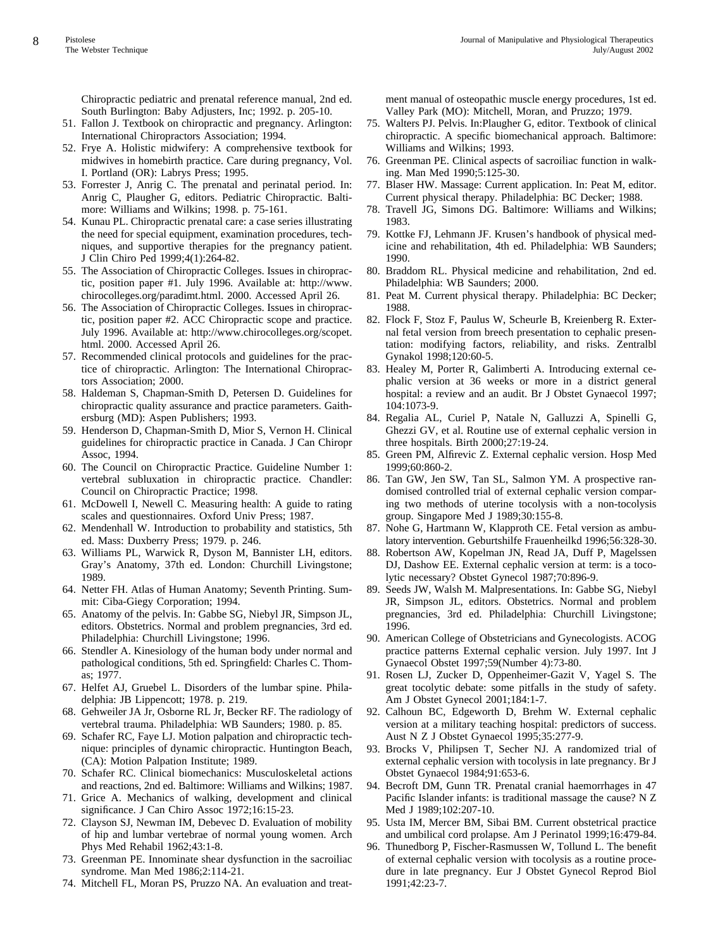Chiropractic pediatric and prenatal reference manual, 2nd ed. South Burlington: Baby Adjusters, Inc; 1992. p. 205-10.

- 51. Fallon J. Textbook on chiropractic and pregnancy. Arlington: International Chiropractors Association; 1994.
- 52. Frye A. Holistic midwifery: A comprehensive textbook for midwives in homebirth practice. Care during pregnancy, Vol. I. Portland (OR): Labrys Press; 1995.
- 53. Forrester J, Anrig C. The prenatal and perinatal period. In: Anrig C, Plaugher G, editors. Pediatric Chiropractic. Baltimore: Williams and Wilkins; 1998. p. 75-161.
- 54. Kunau PL. Chiropractic prenatal care: a case series illustrating the need for special equipment, examination procedures, techniques, and supportive therapies for the pregnancy patient. J Clin Chiro Ped 1999;4(1):264-82.
- 55. The Association of Chiropractic Colleges. Issues in chiropractic, position paper #1. July 1996. Available at: http://www. chirocolleges.org/paradimt.html. 2000. Accessed April 26.
- 56. The Association of Chiropractic Colleges. Issues in chiropractic, position paper #2. ACC Chiropractic scope and practice. July 1996. Available at: http://www.chirocolleges.org/scopet. html. 2000. Accessed April 26.
- 57. Recommended clinical protocols and guidelines for the practice of chiropractic. Arlington: The International Chiropractors Association; 2000.
- 58. Haldeman S, Chapman-Smith D, Petersen D. Guidelines for chiropractic quality assurance and practice parameters. Gaithersburg (MD): Aspen Publishers; 1993.
- 59. Henderson D, Chapman-Smith D, Mior S, Vernon H. Clinical guidelines for chiropractic practice in Canada. J Can Chiropr Assoc, 1994.
- 60. The Council on Chiropractic Practice. Guideline Number 1: vertebral subluxation in chiropractic practice. Chandler: Council on Chiropractic Practice; 1998.
- 61. McDowell I, Newell C. Measuring health: A guide to rating scales and questionnaires. Oxford Univ Press; 1987.
- 62. Mendenhall W. Introduction to probability and statistics, 5th ed. Mass: Duxberry Press; 1979. p. 246.
- 63. Williams PL, Warwick R, Dyson M, Bannister LH, editors. Gray's Anatomy, 37th ed. London: Churchill Livingstone; 1989.
- 64. Netter FH. Atlas of Human Anatomy; Seventh Printing. Summit: Ciba-Giegy Corporation; 1994.
- 65. Anatomy of the pelvis. In: Gabbe SG, Niebyl JR, Simpson JL, editors. Obstetrics. Normal and problem pregnancies, 3rd ed. Philadelphia: Churchill Livingstone; 1996.
- 66. Stendler A. Kinesiology of the human body under normal and pathological conditions, 5th ed. Springfield: Charles C. Thomas; 1977.
- 67. Helfet AJ, Gruebel L. Disorders of the lumbar spine. Philadelphia: JB Lippencott; 1978. p. 219.
- 68. Gehweiler JA Jr, Osborne RL Jr, Becker RF. The radiology of vertebral trauma. Philadelphia: WB Saunders; 1980. p. 85.
- 69. Schafer RC, Faye LJ. Motion palpation and chiropractic technique: principles of dynamic chiropractic. Huntington Beach, (CA): Motion Palpation Institute; 1989.
- 70. Schafer RC. Clinical biomechanics: Musculoskeletal actions and reactions, 2nd ed. Baltimore: Williams and Wilkins; 1987.
- 71. Grice A. Mechanics of walking, development and clinical significance. J Can Chiro Assoc 1972;16:15-23.
- 72. Clayson SJ, Newman IM, Debevec D. Evaluation of mobility of hip and lumbar vertebrae of normal young women. Arch Phys Med Rehabil 1962;43:1-8.
- 73. Greenman PE. Innominate shear dysfunction in the sacroiliac syndrome. Man Med 1986;2:114-21.
- 74. Mitchell FL, Moran PS, Pruzzo NA. An evaluation and treat-

ment manual of osteopathic muscle energy procedures, 1st ed. Valley Park (MO): Mitchell, Moran, and Pruzzo; 1979.

- 75. Walters PJ. Pelvis. In:Plaugher G, editor. Textbook of clinical chiropractic. A specific biomechanical approach. Baltimore: Williams and Wilkins; 1993.
- 76. Greenman PE. Clinical aspects of sacroiliac function in walking. Man Med 1990;5:125-30.
- 77. Blaser HW. Massage: Current application. In: Peat M, editor. Current physical therapy. Philadelphia: BC Decker; 1988.
- 78. Travell JG, Simons DG. Baltimore: Williams and Wilkins; 1983.
- 79. Kottke FJ, Lehmann JF. Krusen's handbook of physical medicine and rehabilitation, 4th ed. Philadelphia: WB Saunders; 1990.
- 80. Braddom RL. Physical medicine and rehabilitation, 2nd ed. Philadelphia: WB Saunders; 2000.
- 81. Peat M. Current physical therapy. Philadelphia: BC Decker; 1988.
- 82. Flock F, Stoz F, Paulus W, Scheurle B, Kreienberg R. External fetal version from breech presentation to cephalic presentation: modifying factors, reliability, and risks. Zentralbl Gynakol 1998;120:60-5.
- 83. Healey M, Porter R, Galimberti A. Introducing external cephalic version at 36 weeks or more in a district general hospital: a review and an audit. Br J Obstet Gynaecol 1997; 104:1073-9.
- 84. Regalia AL, Curiel P, Natale N, Galluzzi A, Spinelli G, Ghezzi GV, et al. Routine use of external cephalic version in three hospitals. Birth 2000;27:19-24.
- 85. Green PM, Alfirevic Z. External cephalic version. Hosp Med 1999;60:860-2.
- 86. Tan GW, Jen SW, Tan SL, Salmon YM. A prospective randomised controlled trial of external cephalic version comparing two methods of uterine tocolysis with a non-tocolysis group. Singapore Med J 1989;30:155-8.
- 87. Nohe G, Hartmann W, Klapproth CE. Fetal version as ambulatory intervention. Geburtshilfe Frauenheilkd 1996;56:328-30.
- 88. Robertson AW, Kopelman JN, Read JA, Duff P, Magelssen DJ, Dashow EE. External cephalic version at term: is a tocolytic necessary? Obstet Gynecol 1987;70:896-9.
- 89. Seeds JW, Walsh M. Malpresentations. In: Gabbe SG, Niebyl JR, Simpson JL, editors. Obstetrics. Normal and problem pregnancies, 3rd ed. Philadelphia: Churchill Livingstone; 1996.
- 90. American College of Obstetricians and Gynecologists. ACOG practice patterns External cephalic version. July 1997. Int J Gynaecol Obstet 1997;59(Number 4):73-80.
- 91. Rosen LJ, Zucker D, Oppenheimer-Gazit V, Yagel S. The great tocolytic debate: some pitfalls in the study of safety. Am J Obstet Gynecol 2001;184:1-7.
- 92. Calhoun BC, Edgeworth D, Brehm W. External cephalic version at a military teaching hospital: predictors of success. Aust N Z J Obstet Gynaecol 1995;35:277-9.
- 93. Brocks V, Philipsen T, Secher NJ. A randomized trial of external cephalic version with tocolysis in late pregnancy. Br J Obstet Gynaecol 1984;91:653-6.
- 94. Becroft DM, Gunn TR. Prenatal cranial haemorrhages in 47 Pacific Islander infants: is traditional massage the cause? N Z Med J 1989;102:207-10.
- 95. Usta IM, Mercer BM, Sibai BM. Current obstetrical practice and umbilical cord prolapse. Am J Perinatol 1999;16:479-84.
- 96. Thunedborg P, Fischer-Rasmussen W, Tollund L. The benefit of external cephalic version with tocolysis as a routine procedure in late pregnancy. Eur J Obstet Gynecol Reprod Biol 1991;42:23-7.